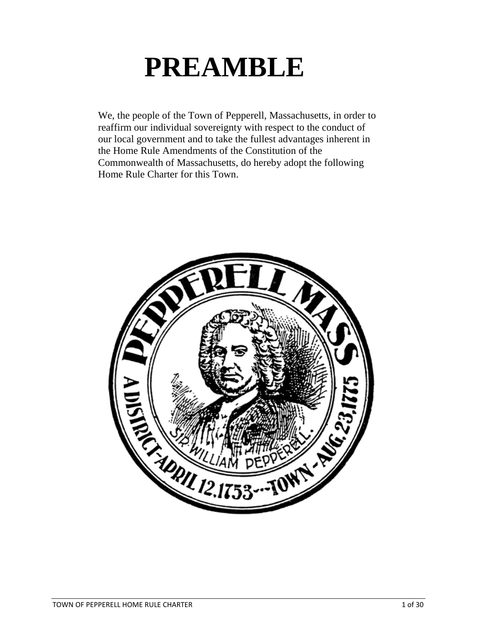# **PREAMBLE**

We, the people of the Town of Pepperell, Massachusetts, in order to reaffirm our individual sovereignty with respect to the conduct of our local government and to take the fullest advantages inherent in the Home Rule Amendments of the Constitution of the Commonwealth of Massachusetts, do hereby adopt the following Home Rule Charter for this Town.

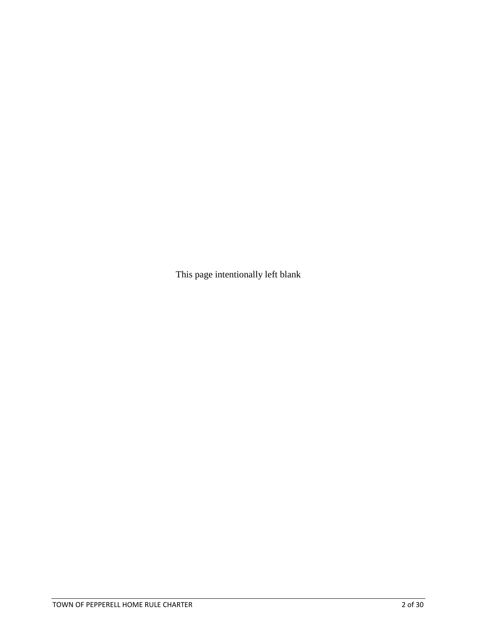This page intentionally left blank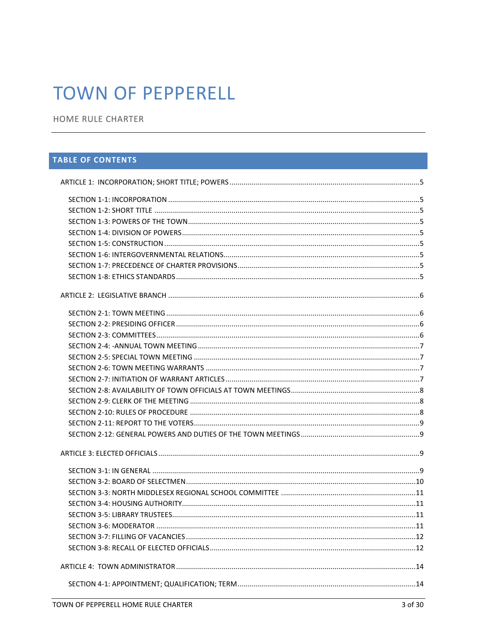# **TOWN OF PEPPERELL**

# HOME RULE CHARTER

# TABLE OF CONTENTS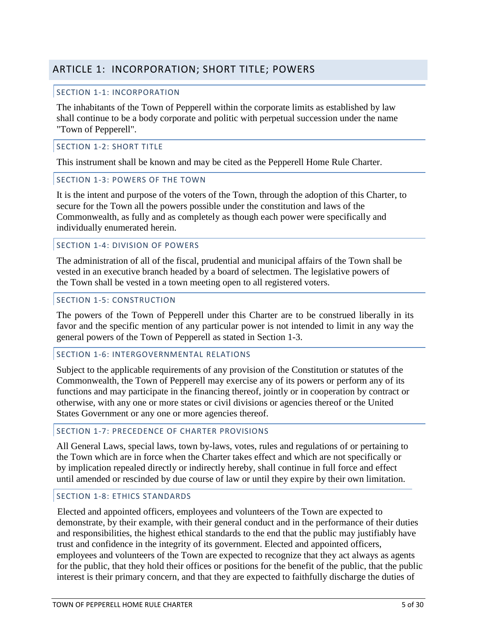# <span id="page-4-0"></span>ARTICLE 1: INCORPORATION; SHORT TITLE; POWERS

#### <span id="page-4-1"></span>SECTION 1-1: INCORPORATION

The inhabitants of the Town of Pepperell within the corporate limits as established by law shall continue to be a body corporate and politic with perpetual succession under the name "Town of Pepperell".

#### <span id="page-4-2"></span>SECTION 1-2: SHORT TITLE

This instrument shall be known and may be cited as the Pepperell Home Rule Charter.

#### <span id="page-4-3"></span>SECTION 1-3: POWERS OF THE TOWN

It is the intent and purpose of the voters of the Town, through the adoption of this Charter, to secure for the Town all the powers possible under the constitution and laws of the Commonwealth, as fully and as completely as though each power were specifically and individually enumerated herein.

# <span id="page-4-4"></span>SECTION 1-4: DIVISION OF POWERS

The administration of all of the fiscal, prudential and municipal affairs of the Town shall be vested in an executive branch headed by a board of selectmen. The legislative powers of the Town shall be vested in a town meeting open to all registered voters.

#### <span id="page-4-5"></span>SECTION 1-5: CONSTRUCTION

The powers of the Town of Pepperell under this Charter are to be construed liberally in its favor and the specific mention of any particular power is not intended to limit in any way the general powers of the Town of Pepperell as stated in Section 1-3.

#### <span id="page-4-6"></span>SECTION 1-6: INTERGOVERNMENTAL RELATIONS

Subject to the applicable requirements of any provision of the Constitution or statutes of the Commonwealth, the Town of Pepperell may exercise any of its powers or perform any of its functions and may participate in the financing thereof, jointly or in cooperation by contract or otherwise, with any one or more states or civil divisions or agencies thereof or the United States Government or any one or more agencies thereof.

#### <span id="page-4-7"></span>SECTION 1-7: PRECEDENCE OF CHARTER PROVISIONS

All General Laws, special laws, town by-laws, votes, rules and regulations of or pertaining to the Town which are in force when the Charter takes effect and which are not specifically or by implication repealed directly or indirectly hereby, shall continue in full force and effect until amended or rescinded by due course of law or until they expire by their own limitation.

#### <span id="page-4-8"></span>SECTION 1-8: ETHICS STANDARDS

Elected and appointed officers, employees and volunteers of the Town are expected to demonstrate, by their example, with their general conduct and in the performance of their duties and responsibilities, the highest ethical standards to the end that the public may justifiably have trust and confidence in the integrity of its government. Elected and appointed officers, employees and volunteers of the Town are expected to recognize that they act always as agents for the public, that they hold their offices or positions for the benefit of the public, that the public interest is their primary concern, and that they are expected to faithfully discharge the duties of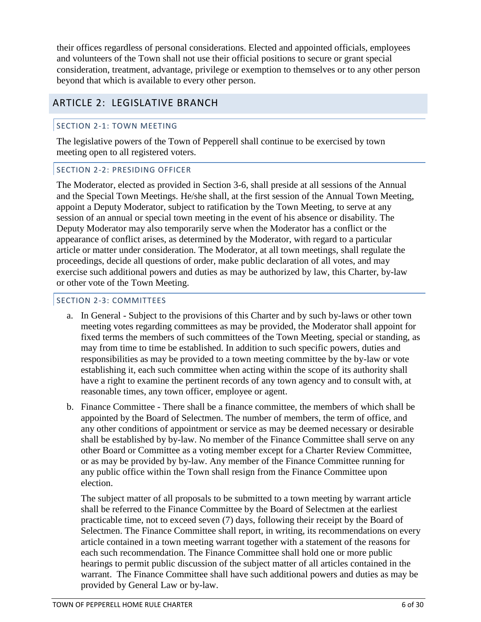their offices regardless of personal considerations. Elected and appointed officials, employees and volunteers of the Town shall not use their official positions to secure or grant special consideration, treatment, advantage, privilege or exemption to themselves or to any other person beyond that which is available to every other person.

# <span id="page-5-0"></span>ARTICLE 2: LEGISLATIVE BRANCH

#### <span id="page-5-1"></span>SECTION 2-1: TOWN MEETING

The legislative powers of the Town of Pepperell shall continue to be exercised by town meeting open to all registered voters.

#### <span id="page-5-2"></span>SECTION 2-2: PRESIDING OFFICER

The Moderator, elected as provided in Section 3-6, shall preside at all sessions of the Annual and the Special Town Meetings. He/she shall, at the first session of the Annual Town Meeting, appoint a Deputy Moderator, subject to ratification by the Town Meeting, to serve at any session of an annual or special town meeting in the event of his absence or disability. The Deputy Moderator may also temporarily serve when the Moderator has a conflict or the appearance of conflict arises, as determined by the Moderator, with regard to a particular article or matter under consideration. The Moderator, at all town meetings, shall regulate the proceedings, decide all questions of order, make public declaration of all votes, and may exercise such additional powers and duties as may be authorized by law, this Charter, by-law or other vote of the Town Meeting.

# <span id="page-5-3"></span>SECTION 2-3: COMMITTEES

- a. In General Subject to the provisions of this Charter and by such by-laws or other town meeting votes regarding committees as may be provided, the Moderator shall appoint for fixed terms the members of such committees of the Town Meeting, special or standing, as may from time to time be established. In addition to such specific powers, duties and responsibilities as may be provided to a town meeting committee by the by-law or vote establishing it, each such committee when acting within the scope of its authority shall have a right to examine the pertinent records of any town agency and to consult with, at reasonable times, any town officer, employee or agent.
- b. Finance Committee There shall be a finance committee, the members of which shall be appointed by the Board of Selectmen. The number of members, the term of office, and any other conditions of appointment or service as may be deemed necessary or desirable shall be established by by-law. No member of the Finance Committee shall serve on any other Board or Committee as a voting member except for a Charter Review Committee, or as may be provided by by-law. Any member of the Finance Committee running for any public office within the Town shall resign from the Finance Committee upon election.

The subject matter of all proposals to be submitted to a town meeting by warrant article shall be referred to the Finance Committee by the Board of Selectmen at the earliest practicable time, not to exceed seven (7) days, following their receipt by the Board of Selectmen. The Finance Committee shall report, in writing, its recommendations on every article contained in a town meeting warrant together with a statement of the reasons for each such recommendation. The Finance Committee shall hold one or more public hearings to permit public discussion of the subject matter of all articles contained in the warrant. The Finance Committee shall have such additional powers and duties as may be provided by General Law or by-law.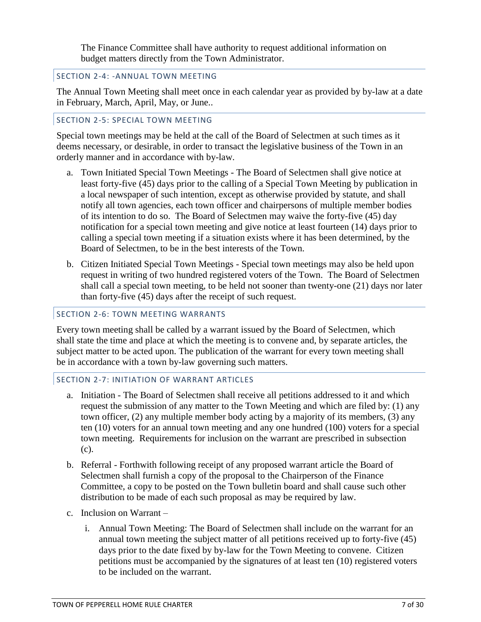The Finance Committee shall have authority to request additional information on budget matters directly from the Town Administrator.

# <span id="page-6-0"></span>SECTION 2-4: -ANNUAL TOWN MEETING

The Annual Town Meeting shall meet once in each calendar year as provided by by-law at a date in February, March, April, May, or June..

<span id="page-6-1"></span>SECTION 2-5: SPECIAL TOWN MEETING

Special town meetings may be held at the call of the Board of Selectmen at such times as it deems necessary, or desirable, in order to transact the legislative business of the Town in an orderly manner and in accordance with by-law.

- a. Town Initiated Special Town Meetings The Board of Selectmen shall give notice at least forty-five (45) days prior to the calling of a Special Town Meeting by publication in a local newspaper of such intention, except as otherwise provided by statute, and shall notify all town agencies, each town officer and chairpersons of multiple member bodies of its intention to do so. The Board of Selectmen may waive the forty-five (45) day notification for a special town meeting and give notice at least fourteen (14) days prior to calling a special town meeting if a situation exists where it has been determined, by the Board of Selectmen, to be in the best interests of the Town.
- b. Citizen Initiated Special Town Meetings Special town meetings may also be held upon request in writing of two hundred registered voters of the Town. The Board of Selectmen shall call a special town meeting, to be held not sooner than twenty-one (21) days nor later than forty-five (45) days after the receipt of such request.

#### <span id="page-6-2"></span>SECTION 2-6: TOWN MEETING WARRANTS

Every town meeting shall be called by a warrant issued by the Board of Selectmen, which shall state the time and place at which the meeting is to convene and, by separate articles, the subject matter to be acted upon. The publication of the warrant for every town meeting shall be in accordance with a town by-law governing such matters.

# <span id="page-6-3"></span>SECTION 2-7: INITIATION OF WARRANT ARTICLES

- a. Initiation The Board of Selectmen shall receive all petitions addressed to it and which request the submission of any matter to the Town Meeting and which are filed by: (1) any town officer, (2) any multiple member body acting by a majority of its members, (3) any ten (10) voters for an annual town meeting and any one hundred (100) voters for a special town meeting. Requirements for inclusion on the warrant are prescribed in subsection (c).
- b. Referral Forthwith following receipt of any proposed warrant article the Board of Selectmen shall furnish a copy of the proposal to the Chairperson of the Finance Committee, a copy to be posted on the Town bulletin board and shall cause such other distribution to be made of each such proposal as may be required by law.
- c. Inclusion on Warrant
	- i. Annual Town Meeting: The Board of Selectmen shall include on the warrant for an annual town meeting the subject matter of all petitions received up to forty-five (45) days prior to the date fixed by by-law for the Town Meeting to convene. Citizen petitions must be accompanied by the signatures of at least ten (10) registered voters to be included on the warrant.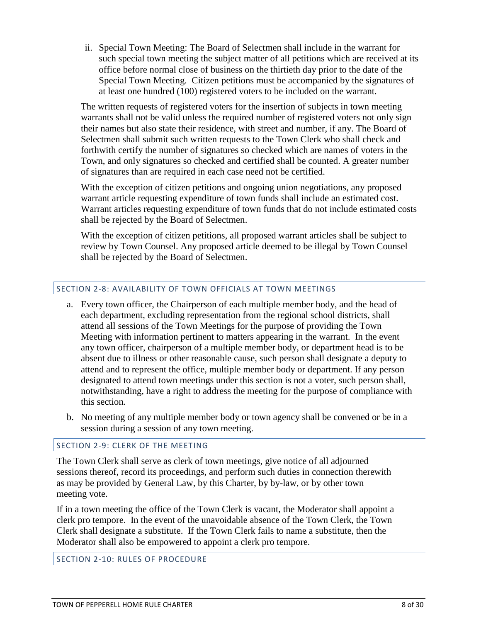ii. Special Town Meeting: The Board of Selectmen shall include in the warrant for such special town meeting the subject matter of all petitions which are received at its office before normal close of business on the thirtieth day prior to the date of the Special Town Meeting. Citizen petitions must be accompanied by the signatures of at least one hundred (100) registered voters to be included on the warrant.

The written requests of registered voters for the insertion of subjects in town meeting warrants shall not be valid unless the required number of registered voters not only sign their names but also state their residence, with street and number, if any. The Board of Selectmen shall submit such written requests to the Town Clerk who shall check and forthwith certify the number of signatures so checked which are names of voters in the Town, and only signatures so checked and certified shall be counted. A greater number of signatures than are required in each case need not be certified.

With the exception of citizen petitions and ongoing union negotiations, any proposed warrant article requesting expenditure of town funds shall include an estimated cost. Warrant articles requesting expenditure of town funds that do not include estimated costs shall be rejected by the Board of Selectmen.

With the exception of citizen petitions, all proposed warrant articles shall be subject to review by Town Counsel. Any proposed article deemed to be illegal by Town Counsel shall be rejected by the Board of Selectmen.

# <span id="page-7-0"></span>SECTION 2-8: AVAILABILITY OF TOWN OFFICIALS AT TOWN MEETINGS

- a. Every town officer, the Chairperson of each multiple member body, and the head of each department, excluding representation from the regional school districts, shall attend all sessions of the Town Meetings for the purpose of providing the Town Meeting with information pertinent to matters appearing in the warrant. In the event any town officer, chairperson of a multiple member body, or department head is to be absent due to illness or other reasonable cause, such person shall designate a deputy to attend and to represent the office, multiple member body or department. If any person designated to attend town meetings under this section is not a voter, such person shall, notwithstanding, have a right to address the meeting for the purpose of compliance with this section.
- b. No meeting of any multiple member body or town agency shall be convened or be in a session during a session of any town meeting.

# <span id="page-7-1"></span>SECTION 2-9: CLERK OF THE MEETING

The Town Clerk shall serve as clerk of town meetings, give notice of all adjourned sessions thereof, record its proceedings, and perform such duties in connection therewith as may be provided by General Law, by this Charter, by by-law, or by other town meeting vote.

If in a town meeting the office of the Town Clerk is vacant, the Moderator shall appoint a clerk pro tempore. In the event of the unavoidable absence of the Town Clerk, the Town Clerk shall designate a substitute. If the Town Clerk fails to name a substitute, then the Moderator shall also be empowered to appoint a clerk pro tempore.

# <span id="page-7-2"></span>SECTION 2-10: RULES OF PROCEDURE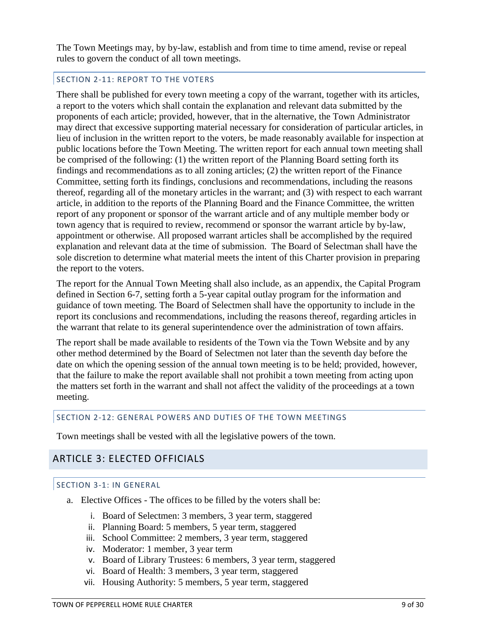The Town Meetings may, by by-law, establish and from time to time amend, revise or repeal rules to govern the conduct of all town meetings.

# <span id="page-8-0"></span>SECTION 2-11: REPORT TO THE VOTERS

There shall be published for every town meeting a copy of the warrant, together with its articles, a report to the voters which shall contain the explanation and relevant data submitted by the proponents of each article; provided, however, that in the alternative, the Town Administrator may direct that excessive supporting material necessary for consideration of particular articles, in lieu of inclusion in the written report to the voters, be made reasonably available for inspection at public locations before the Town Meeting. The written report for each annual town meeting shall be comprised of the following: (1) the written report of the Planning Board setting forth its findings and recommendations as to all zoning articles; (2) the written report of the Finance Committee, setting forth its findings, conclusions and recommendations, including the reasons thereof, regarding all of the monetary articles in the warrant; and (3) with respect to each warrant article, in addition to the reports of the Planning Board and the Finance Committee, the written report of any proponent or sponsor of the warrant article and of any multiple member body or town agency that is required to review, recommend or sponsor the warrant article by by-law, appointment or otherwise. All proposed warrant articles shall be accomplished by the required explanation and relevant data at the time of submission. The Board of Selectman shall have the sole discretion to determine what material meets the intent of this Charter provision in preparing the report to the voters.

The report for the Annual Town Meeting shall also include, as an appendix, the Capital Program defined in Section 6-7, setting forth a 5-year capital outlay program for the information and guidance of town meeting. The Board of Selectmen shall have the opportunity to include in the report its conclusions and recommendations, including the reasons thereof, regarding articles in the warrant that relate to its general superintendence over the administration of town affairs.

The report shall be made available to residents of the Town via the Town Website and by any other method determined by the Board of Selectmen not later than the seventh day before the date on which the opening session of the annual town meeting is to be held; provided, however, that the failure to make the report available shall not prohibit a town meeting from acting upon the matters set forth in the warrant and shall not affect the validity of the proceedings at a town meeting.

# <span id="page-8-1"></span>SECTION 2-12: GENERAL POWERS AND DUTIES OF THE TOWN MEETINGS

Town meetings shall be vested with all the legislative powers of the town.

# <span id="page-8-2"></span>ARTICLE 3: ELECTED OFFICIALS

#### <span id="page-8-3"></span>SECTION 3-1: IN GENERAL

- a. Elective Offices The offices to be filled by the voters shall be:
	- i. Board of Selectmen: 3 members, 3 year term, staggered
	- ii. Planning Board: 5 members, 5 year term, staggered
	- iii. School Committee: 2 members, 3 year term, staggered
	- iv. Moderator: 1 member, 3 year term
	- v. Board of Library Trustees: 6 members, 3 year term, staggered
	- vi. Board of Health: 3 members, 3 year term, staggered
	- vii. Housing Authority: 5 members, 5 year term, staggered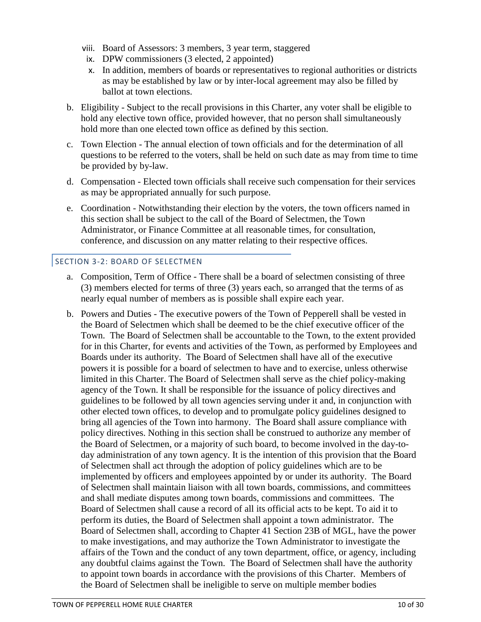- viii. Board of Assessors: 3 members, 3 year term, staggered
- ix. DPW commissioners (3 elected, 2 appointed)
- x. In addition, members of boards or representatives to regional authorities or districts as may be established by law or by inter-local agreement may also be filled by ballot at town elections.
- b. Eligibility Subject to the recall provisions in this Charter, any voter shall be eligible to hold any elective town office, provided however, that no person shall simultaneously hold more than one elected town office as defined by this section.
- c. Town Election The annual election of town officials and for the determination of all questions to be referred to the voters, shall be held on such date as may from time to time be provided by by-law.
- d. Compensation Elected town officials shall receive such compensation for their services as may be appropriated annually for such purpose.
- e. Coordination Notwithstanding their election by the voters, the town officers named in this section shall be subject to the call of the Board of Selectmen, the Town Administrator, or Finance Committee at all reasonable times, for consultation, conference, and discussion on any matter relating to their respective offices.

#### <span id="page-9-0"></span>SECTION 3-2: BOARD OF SELECTMEN

- a. Composition, Term of Office There shall be a board of selectmen consisting of three (3) members elected for terms of three (3) years each, so arranged that the terms of as nearly equal number of members as is possible shall expire each year.
- b. Powers and Duties The executive powers of the Town of Pepperell shall be vested in the Board of Selectmen which shall be deemed to be the chief executive officer of the Town. The Board of Selectmen shall be accountable to the Town, to the extent provided for in this Charter, for events and activities of the Town, as performed by Employees and Boards under its authority. The Board of Selectmen shall have all of the executive powers it is possible for a board of selectmen to have and to exercise, unless otherwise limited in this Charter. The Board of Selectmen shall serve as the chief policy-making agency of the Town. It shall be responsible for the issuance of policy directives and guidelines to be followed by all town agencies serving under it and, in conjunction with other elected town offices, to develop and to promulgate policy guidelines designed to bring all agencies of the Town into harmony. The Board shall assure compliance with policy directives. Nothing in this section shall be construed to authorize any member of the Board of Selectmen, or a majority of such board, to become involved in the day-today administration of any town agency. It is the intention of this provision that the Board of Selectmen shall act through the adoption of policy guidelines which are to be implemented by officers and employees appointed by or under its authority. The Board of Selectmen shall maintain liaison with all town boards, commissions, and committees and shall mediate disputes among town boards, commissions and committees. The Board of Selectmen shall cause a record of all its official acts to be kept. To aid it to perform its duties, the Board of Selectmen shall appoint a town administrator. The Board of Selectmen shall, according to Chapter 41 Section 23B of MGL, have the power to make investigations, and may authorize the Town Administrator to investigate the affairs of the Town and the conduct of any town department, office, or agency, including any doubtful claims against the Town. The Board of Selectmen shall have the authority to appoint town boards in accordance with the provisions of this Charter. Members of the Board of Selectmen shall be ineligible to serve on multiple member bodies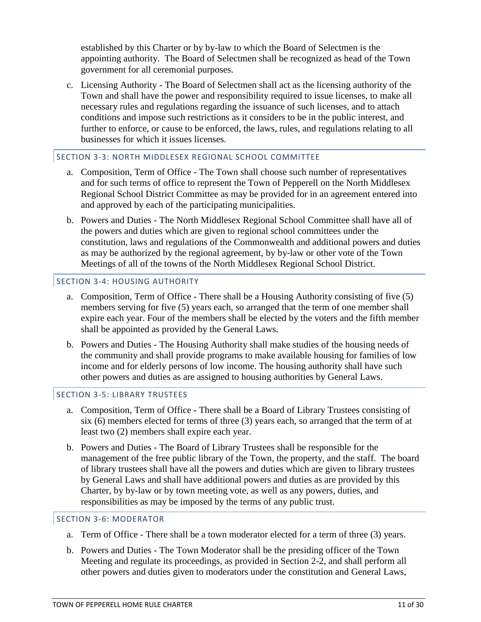established by this Charter or by by-law to which the Board of Selectmen is the appointing authority. The Board of Selectmen shall be recognized as head of the Town government for all ceremonial purposes.

c. Licensing Authority - The Board of Selectmen shall act as the licensing authority of the Town and shall have the power and responsibility required to issue licenses, to make all necessary rules and regulations regarding the issuance of such licenses, and to attach conditions and impose such restrictions as it considers to be in the public interest, and further to enforce, or cause to be enforced, the laws, rules, and regulations relating to all businesses for which it issues licenses.

#### <span id="page-10-0"></span>SECTION 3-3: NORTH MIDDLESEX REGIONAL SCHOOL COMMITTEE

- a. Composition, Term of Office The Town shall choose such number of representatives and for such terms of office to represent the Town of Pepperell on the North Middlesex Regional School District Committee as may be provided for in an agreement entered into and approved by each of the participating municipalities.
- b. Powers and Duties The North Middlesex Regional School Committee shall have all of the powers and duties which are given to regional school committees under the constitution, laws and regulations of the Commonwealth and additional powers and duties as may be authorized by the regional agreement, by by-law or other vote of the Town Meetings of all of the towns of the North Middlesex Regional School District.

# <span id="page-10-1"></span>SECTION 3-4: HOUSING AUTHORITY

- a. Composition, Term of Office There shall be a Housing Authority consisting of five (5) members serving for five (5) years each, so arranged that the term of one member shall expire each year. Four of the members shall be elected by the voters and the fifth member shall be appointed as provided by the General Laws.
- b. Powers and Duties The Housing Authority shall make studies of the housing needs of the community and shall provide programs to make available housing for families of low income and for elderly persons of low income. The housing authority shall have such other powers and duties as are assigned to housing authorities by General Laws.

# <span id="page-10-2"></span>SECTION 3-5: LIBRARY TRUSTEES

- a. Composition, Term of Office There shall be a Board of Library Trustees consisting of six (6) members elected for terms of three (3) years each, so arranged that the term of at least two (2) members shall expire each year.
- b. Powers and Duties The Board of Library Trustees shall be responsible for the management of the free public library of the Town, the property, and the staff. The board of library trustees shall have all the powers and duties which are given to library trustees by General Laws and shall have additional powers and duties as are provided by this Charter, by by-law or by town meeting vote, as well as any powers, duties, and responsibilities as may be imposed by the terms of any public trust.

#### <span id="page-10-3"></span>SECTION 3-6: MODERATOR

- a. Term of Office There shall be a town moderator elected for a term of three (3) years.
- b. Powers and Duties The Town Moderator shall be the presiding officer of the Town Meeting and regulate its proceedings, as provided in Section 2-2, and shall perform all other powers and duties given to moderators under the constitution and General Laws,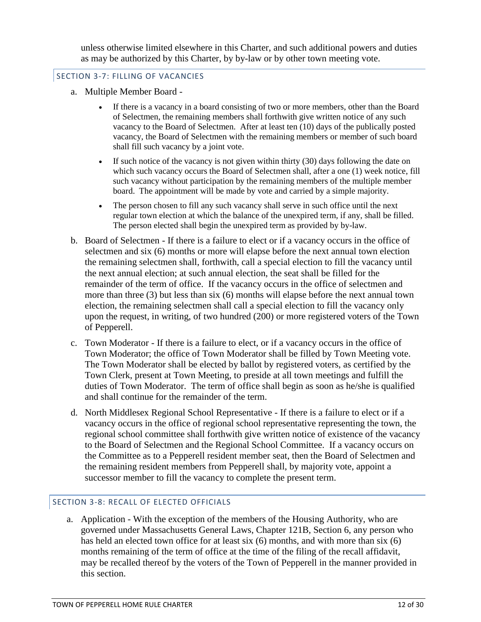unless otherwise limited elsewhere in this Charter, and such additional powers and duties as may be authorized by this Charter, by by-law or by other town meeting vote.

#### <span id="page-11-0"></span>SECTION 3-7: FILLING OF VACANCIES

- a. Multiple Member Board
	- If there is a vacancy in a board consisting of two or more members, other than the Board of Selectmen, the remaining members shall forthwith give written notice of any such vacancy to the Board of Selectmen. After at least ten (10) days of the publically posted vacancy, the Board of Selectmen with the remaining members or member of such board shall fill such vacancy by a joint vote.
	- If such notice of the vacancy is not given within thirty (30) days following the date on which such vacancy occurs the Board of Selectmen shall, after a one (1) week notice, fill such vacancy without participation by the remaining members of the multiple member board. The appointment will be made by vote and carried by a simple majority.
	- The person chosen to fill any such vacancy shall serve in such office until the next regular town election at which the balance of the unexpired term, if any, shall be filled. The person elected shall begin the unexpired term as provided by by-law.
- b. Board of Selectmen If there is a failure to elect or if a vacancy occurs in the office of selectmen and six (6) months or more will elapse before the next annual town election the remaining selectmen shall, forthwith, call a special election to fill the vacancy until the next annual election; at such annual election, the seat shall be filled for the remainder of the term of office. If the vacancy occurs in the office of selectmen and more than three (3) but less than six (6) months will elapse before the next annual town election, the remaining selectmen shall call a special election to fill the vacancy only upon the request, in writing, of two hundred (200) or more registered voters of the Town of Pepperell.
- c. Town Moderator If there is a failure to elect, or if a vacancy occurs in the office of Town Moderator; the office of Town Moderator shall be filled by Town Meeting vote. The Town Moderator shall be elected by ballot by registered voters, as certified by the Town Clerk, present at Town Meeting, to preside at all town meetings and fulfill the duties of Town Moderator. The term of office shall begin as soon as he/she is qualified and shall continue for the remainder of the term.
- d. North Middlesex Regional School Representative If there is a failure to elect or if a vacancy occurs in the office of regional school representative representing the town, the regional school committee shall forthwith give written notice of existence of the vacancy to the Board of Selectmen and the Regional School Committee. If a vacancy occurs on the Committee as to a Pepperell resident member seat, then the Board of Selectmen and the remaining resident members from Pepperell shall, by majority vote, appoint a successor member to fill the vacancy to complete the present term.

# <span id="page-11-1"></span>SECTION 3-8: RECALL OF ELECTED OFFICIALS

a. Application - With the exception of the members of the Housing Authority, who are governed under Massachusetts General Laws, Chapter 121B, Section 6, any person who has held an elected town office for at least six (6) months, and with more than six (6) months remaining of the term of office at the time of the filing of the recall affidavit, may be recalled thereof by the voters of the Town of Pepperell in the manner provided in this section.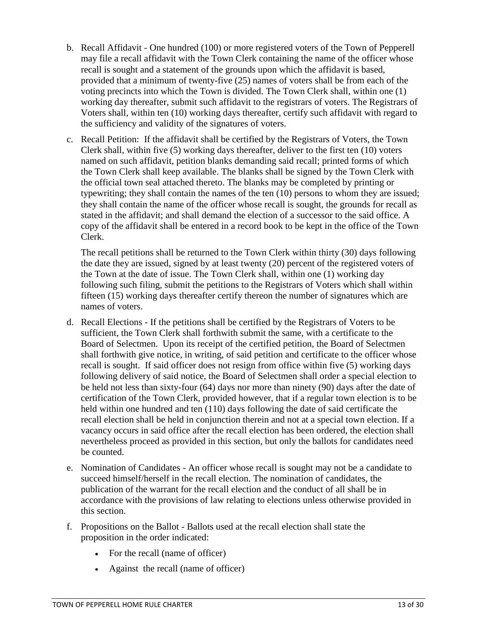- b. Recall Affidavit One hundred (100) or more registered voters of the Town of Pepperell may file a recall affidavit with the Town Clerk containing the name of the officer whose recall is sought and a statement of the grounds upon which the affidavit is based, provided that a minimum of twenty-five (25) names of voters shall be from each of the voting precincts into which the Town is divided. The Town Clerk shall, within one (1) working day thereafter, submit such affidavit to the registrars of voters. The Registrars of Voters shall, within ten (10) working days thereafter, certify such affidavit with regard to the sufficiency and validity of the signatures of voters.
- c. Recall Petition: If the affidavit shall be certified by the Registrars of Voters, the Town Clerk shall, within five (5) working days thereafter, deliver to the first ten (10) voters named on such affidavit, petition blanks demanding said recall; printed forms of which the Town Clerk shall keep available. The blanks shall be signed by the Town Clerk with the official town seal attached thereto. The blanks may be completed by printing or typewriting; they shall contain the names of the ten (10) persons to whom they are issued; they shall contain the name of the officer whose recall is sought, the grounds for recall as stated in the affidavit; and shall demand the election of a successor to the said office. A copy of the affidavit shall be entered in a record book to be kept in the office of the Town Clerk.

The recall petitions shall be returned to the Town Clerk within thirty (30) days following the date they are issued, signed by at least twenty (20) percent of the registered voters of the Town at the date of issue. The Town Clerk shall, within one (1) working day following such filing, submit the petitions to the Registrars of Voters which shall within fifteen (15) working days thereafter certify thereon the number of signatures which are names of voters.

- d. Recall Elections If the petitions shall be certified by the Registrars of Voters to be sufficient, the Town Clerk shall forthwith submit the same, with a certificate to the Board of Selectmen. Upon its receipt of the certified petition, the Board of Selectmen shall forthwith give notice, in writing, of said petition and certificate to the officer whose recall is sought. If said officer does not resign from office within five (5) working days following delivery of said notice, the Board of Selectmen shall order a special election to be held not less than sixty-four (64) days nor more than ninety (90) days after the date of certification of the Town Clerk, provided however, that if a regular town election is to be held within one hundred and ten (110) days following the date of said certificate the recall election shall be held in conjunction therein and not at a special town election. If a vacancy occurs in said office after the recall election has been ordered, the election shall nevertheless proceed as provided in this section, but only the ballots for candidates need be counted.
- e. Nomination of Candidates An officer whose recall is sought may not be a candidate to succeed himself/herself in the recall election. The nomination of candidates, the publication of the warrant for the recall election and the conduct of all shall be in accordance with the provisions of law relating to elections unless otherwise provided in this section.
- f. Propositions on the Ballot Ballots used at the recall election shall state the proposition in the order indicated:
	- For the recall (name of officer)
	- Against the recall (name of officer)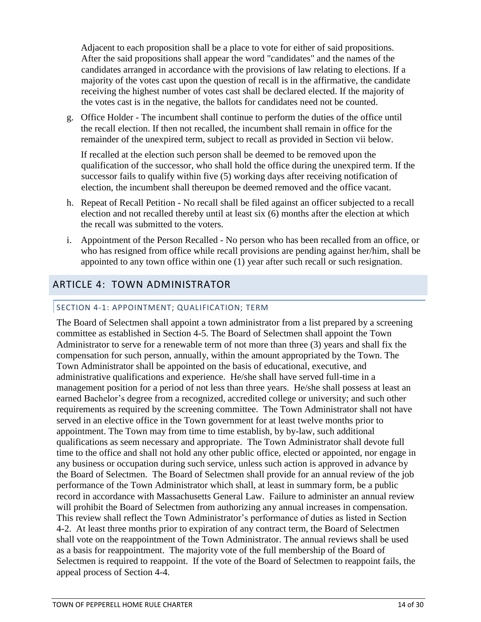Adjacent to each proposition shall be a place to vote for either of said propositions. After the said propositions shall appear the word "candidates" and the names of the candidates arranged in accordance with the provisions of law relating to elections. If a majority of the votes cast upon the question of recall is in the affirmative, the candidate receiving the highest number of votes cast shall be declared elected. If the majority of the votes cast is in the negative, the ballots for candidates need not be counted.

g. Office Holder - The incumbent shall continue to perform the duties of the office until the recall election. If then not recalled, the incumbent shall remain in office for the remainder of the unexpired term, subject to recall as provided in Section vii below.

If recalled at the election such person shall be deemed to be removed upon the qualification of the successor, who shall hold the office during the unexpired term. If the successor fails to qualify within five (5) working days after receiving notification of election, the incumbent shall thereupon be deemed removed and the office vacant.

- h. Repeat of Recall Petition No recall shall be filed against an officer subjected to a recall election and not recalled thereby until at least six (6) months after the election at which the recall was submitted to the voters.
- i. Appointment of the Person Recalled No person who has been recalled from an office, or who has resigned from office while recall provisions are pending against her/him, shall be appointed to any town office within one (1) year after such recall or such resignation.

# <span id="page-13-0"></span>ARTICLE 4: TOWN ADMINISTRATOR

# <span id="page-13-1"></span>SECTION 4-1: APPOINTMENT; QUALIFICATION; TERM

The Board of Selectmen shall appoint a town administrator from a list prepared by a screening committee as established in Section 4-5. The Board of Selectmen shall appoint the Town Administrator to serve for a renewable term of not more than three (3) years and shall fix the compensation for such person, annually, within the amount appropriated by the Town. The Town Administrator shall be appointed on the basis of educational, executive, and administrative qualifications and experience. He/she shall have served full-time in a management position for a period of not less than three years. He/she shall possess at least an earned Bachelor's degree from a recognized, accredited college or university; and such other requirements as required by the screening committee. The Town Administrator shall not have served in an elective office in the Town government for at least twelve months prior to appointment. The Town may from time to time establish, by by-law, such additional qualifications as seem necessary and appropriate. The Town Administrator shall devote full time to the office and shall not hold any other public office, elected or appointed, nor engage in any business or occupation during such service, unless such action is approved in advance by the Board of Selectmen. The Board of Selectmen shall provide for an annual review of the job performance of the Town Administrator which shall, at least in summary form, be a public record in accordance with Massachusetts General Law. Failure to administer an annual review will prohibit the Board of Selectmen from authorizing any annual increases in compensation. This review shall reflect the Town Administrator's performance of duties as listed in Section 4-2. At least three months prior to expiration of any contract term, the Board of Selectmen shall vote on the reappointment of the Town Administrator. The annual reviews shall be used as a basis for reappointment. The majority vote of the full membership of the Board of Selectmen is required to reappoint. If the vote of the Board of Selectmen to reappoint fails, the appeal process of Section 4-4.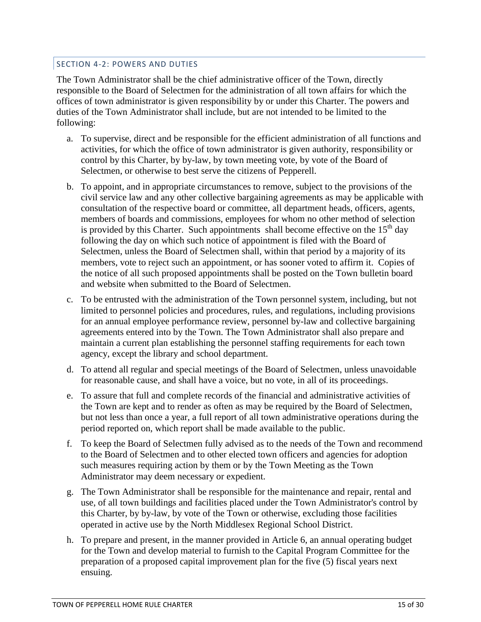#### <span id="page-14-0"></span>SECTION 4-2: POWERS AND DUTIES

The Town Administrator shall be the chief administrative officer of the Town, directly responsible to the Board of Selectmen for the administration of all town affairs for which the offices of town administrator is given responsibility by or under this Charter. The powers and duties of the Town Administrator shall include, but are not intended to be limited to the following:

- a. To supervise, direct and be responsible for the efficient administration of all functions and activities, for which the office of town administrator is given authority, responsibility or control by this Charter, by by-law, by town meeting vote, by vote of the Board of Selectmen, or otherwise to best serve the citizens of Pepperell.
- b. To appoint, and in appropriate circumstances to remove, subject to the provisions of the civil service law and any other collective bargaining agreements as may be applicable with consultation of the respective board or committee, all department heads, officers, agents, members of boards and commissions, employees for whom no other method of selection is provided by this Charter. Such appointments shall become effective on the  $15<sup>th</sup>$  day following the day on which such notice of appointment is filed with the Board of Selectmen, unless the Board of Selectmen shall, within that period by a majority of its members, vote to reject such an appointment, or has sooner voted to affirm it. Copies of the notice of all such proposed appointments shall be posted on the Town bulletin board and website when submitted to the Board of Selectmen.
- c. To be entrusted with the administration of the Town personnel system, including, but not limited to personnel policies and procedures, rules, and regulations, including provisions for an annual employee performance review, personnel by-law and collective bargaining agreements entered into by the Town. The Town Administrator shall also prepare and maintain a current plan establishing the personnel staffing requirements for each town agency, except the library and school department.
- d. To attend all regular and special meetings of the Board of Selectmen, unless unavoidable for reasonable cause, and shall have a voice, but no vote, in all of its proceedings.
- e. To assure that full and complete records of the financial and administrative activities of the Town are kept and to render as often as may be required by the Board of Selectmen, but not less than once a year, a full report of all town administrative operations during the period reported on, which report shall be made available to the public.
- f. To keep the Board of Selectmen fully advised as to the needs of the Town and recommend to the Board of Selectmen and to other elected town officers and agencies for adoption such measures requiring action by them or by the Town Meeting as the Town Administrator may deem necessary or expedient.
- g. The Town Administrator shall be responsible for the maintenance and repair, rental and use, of all town buildings and facilities placed under the Town Administrator's control by this Charter, by by-law, by vote of the Town or otherwise, excluding those facilities operated in active use by the North Middlesex Regional School District.
- h. To prepare and present, in the manner provided in Article 6, an annual operating budget for the Town and develop material to furnish to the Capital Program Committee for the preparation of a proposed capital improvement plan for the five (5) fiscal years next ensuing.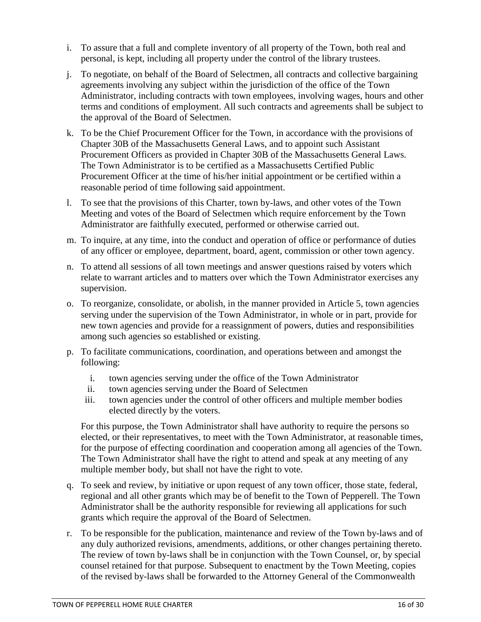- i. To assure that a full and complete inventory of all property of the Town, both real and personal, is kept, including all property under the control of the library trustees.
- j. To negotiate, on behalf of the Board of Selectmen, all contracts and collective bargaining agreements involving any subject within the jurisdiction of the office of the Town Administrator, including contracts with town employees, involving wages, hours and other terms and conditions of employment. All such contracts and agreements shall be subject to the approval of the Board of Selectmen.
- k. To be the Chief Procurement Officer for the Town, in accordance with the provisions of Chapter 30B of the Massachusetts General Laws, and to appoint such Assistant Procurement Officers as provided in Chapter 30B of the Massachusetts General Laws. The Town Administrator is to be certified as a Massachusetts Certified Public Procurement Officer at the time of his/her initial appointment or be certified within a reasonable period of time following said appointment.
- l. To see that the provisions of this Charter, town by-laws, and other votes of the Town Meeting and votes of the Board of Selectmen which require enforcement by the Town Administrator are faithfully executed, performed or otherwise carried out.
- m. To inquire, at any time, into the conduct and operation of office or performance of duties of any officer or employee, department, board, agent, commission or other town agency.
- n. To attend all sessions of all town meetings and answer questions raised by voters which relate to warrant articles and to matters over which the Town Administrator exercises any supervision.
- o. To reorganize, consolidate, or abolish, in the manner provided in Article 5, town agencies serving under the supervision of the Town Administrator, in whole or in part, provide for new town agencies and provide for a reassignment of powers, duties and responsibilities among such agencies so established or existing.
- p. To facilitate communications, coordination, and operations between and amongst the following:
	- i. town agencies serving under the office of the Town Administrator
	- ii. town agencies serving under the Board of Selectmen
	- iii. town agencies under the control of other officers and multiple member bodies elected directly by the voters.

For this purpose, the Town Administrator shall have authority to require the persons so elected, or their representatives, to meet with the Town Administrator, at reasonable times, for the purpose of effecting coordination and cooperation among all agencies of the Town. The Town Administrator shall have the right to attend and speak at any meeting of any multiple member body, but shall not have the right to vote.

- q. To seek and review, by initiative or upon request of any town officer, those state, federal, regional and all other grants which may be of benefit to the Town of Pepperell. The Town Administrator shall be the authority responsible for reviewing all applications for such grants which require the approval of the Board of Selectmen.
- r. To be responsible for the publication, maintenance and review of the Town by-laws and of any duly authorized revisions, amendments, additions, or other changes pertaining thereto. The review of town by-laws shall be in conjunction with the Town Counsel, or, by special counsel retained for that purpose. Subsequent to enactment by the Town Meeting, copies of the revised by-laws shall be forwarded to the Attorney General of the Commonwealth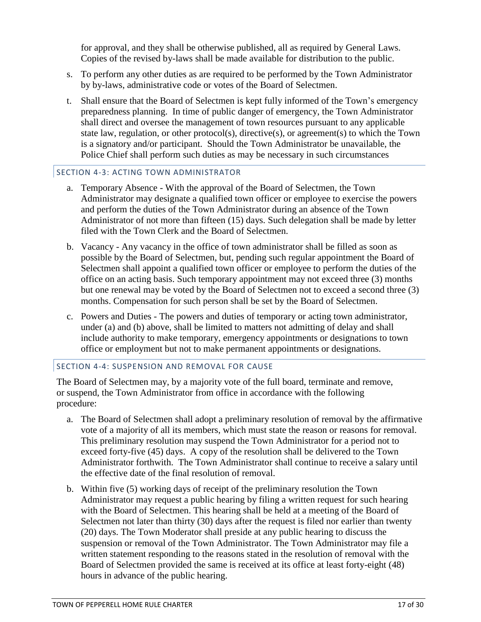for approval, and they shall be otherwise published, all as required by General Laws. Copies of the revised by-laws shall be made available for distribution to the public.

- s. To perform any other duties as are required to be performed by the Town Administrator by by-laws, administrative code or votes of the Board of Selectmen.
- t. Shall ensure that the Board of Selectmen is kept fully informed of the Town's emergency preparedness planning. In time of public danger of emergency, the Town Administrator shall direct and oversee the management of town resources pursuant to any applicable state law, regulation, or other protocol(s), directive(s), or agreement(s) to which the Town is a signatory and/or participant. Should the Town Administrator be unavailable, the Police Chief shall perform such duties as may be necessary in such circumstances

# <span id="page-16-0"></span>SECTION 4-3: ACTING TOWN ADMINISTRATOR

- a. Temporary Absence With the approval of the Board of Selectmen, the Town Administrator may designate a qualified town officer or employee to exercise the powers and perform the duties of the Town Administrator during an absence of the Town Administrator of not more than fifteen (15) days. Such delegation shall be made by letter filed with the Town Clerk and the Board of Selectmen.
- b. Vacancy Any vacancy in the office of town administrator shall be filled as soon as possible by the Board of Selectmen, but, pending such regular appointment the Board of Selectmen shall appoint a qualified town officer or employee to perform the duties of the office on an acting basis. Such temporary appointment may not exceed three (3) months but one renewal may be voted by the Board of Selectmen not to exceed a second three (3) months. Compensation for such person shall be set by the Board of Selectmen.
- c. Powers and Duties The powers and duties of temporary or acting town administrator, under (a) and (b) above, shall be limited to matters not admitting of delay and shall include authority to make temporary, emergency appointments or designations to town office or employment but not to make permanent appointments or designations.

#### <span id="page-16-1"></span>SECTION 4-4: SUSPENSION AND REMOVAL FOR CAUSE

The Board of Selectmen may, by a majority vote of the full board, terminate and remove, or suspend, the Town Administrator from office in accordance with the following procedure:

- a. The Board of Selectmen shall adopt a preliminary resolution of removal by the affirmative vote of a majority of all its members, which must state the reason or reasons for removal. This preliminary resolution may suspend the Town Administrator for a period not to exceed forty-five (45) days. A copy of the resolution shall be delivered to the Town Administrator forthwith. The Town Administrator shall continue to receive a salary until the effective date of the final resolution of removal.
- b. Within five (5) working days of receipt of the preliminary resolution the Town Administrator may request a public hearing by filing a written request for such hearing with the Board of Selectmen. This hearing shall be held at a meeting of the Board of Selectmen not later than thirty (30) days after the request is filed nor earlier than twenty (20) days. The Town Moderator shall preside at any public hearing to discuss the suspension or removal of the Town Administrator. The Town Administrator may file a written statement responding to the reasons stated in the resolution of removal with the Board of Selectmen provided the same is received at its office at least forty-eight (48) hours in advance of the public hearing.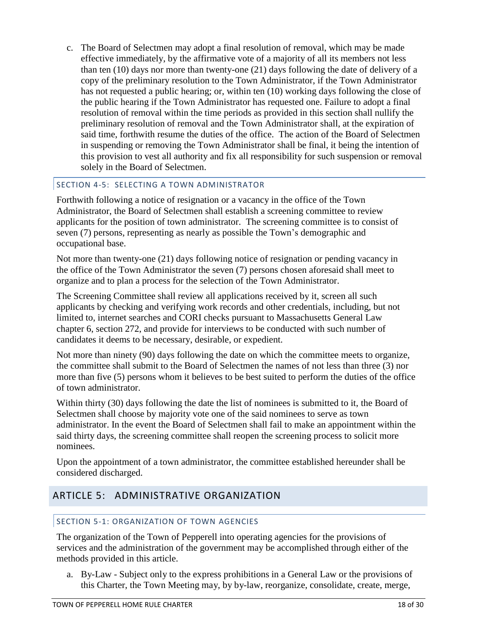c. The Board of Selectmen may adopt a final resolution of removal, which may be made effective immediately, by the affirmative vote of a majority of all its members not less than ten (10) days nor more than twenty-one (21) days following the date of delivery of a copy of the preliminary resolution to the Town Administrator, if the Town Administrator has not requested a public hearing; or, within ten (10) working days following the close of the public hearing if the Town Administrator has requested one. Failure to adopt a final resolution of removal within the time periods as provided in this section shall nullify the preliminary resolution of removal and the Town Administrator shall, at the expiration of said time, forthwith resume the duties of the office. The action of the Board of Selectmen in suspending or removing the Town Administrator shall be final, it being the intention of this provision to vest all authority and fix all responsibility for such suspension or removal solely in the Board of Selectmen.

#### <span id="page-17-0"></span>SECTION 4-5: SELECTING A TOWN ADMINISTRATOR

Forthwith following a notice of resignation or a vacancy in the office of the Town Administrator, the Board of Selectmen shall establish a screening committee to review applicants for the position of town administrator. The screening committee is to consist of seven (7) persons, representing as nearly as possible the Town's demographic and occupational base.

Not more than twenty-one (21) days following notice of resignation or pending vacancy in the office of the Town Administrator the seven (7) persons chosen aforesaid shall meet to organize and to plan a process for the selection of the Town Administrator.

The Screening Committee shall review all applications received by it, screen all such applicants by checking and verifying work records and other credentials, including, but not limited to, internet searches and CORI checks pursuant to Massachusetts General Law chapter 6, section 272, and provide for interviews to be conducted with such number of candidates it deems to be necessary, desirable, or expedient.

Not more than ninety (90) days following the date on which the committee meets to organize, the committee shall submit to the Board of Selectmen the names of not less than three (3) nor more than five (5) persons whom it believes to be best suited to perform the duties of the office of town administrator.

Within thirty (30) days following the date the list of nominees is submitted to it, the Board of Selectmen shall choose by majority vote one of the said nominees to serve as town administrator. In the event the Board of Selectmen shall fail to make an appointment within the said thirty days, the screening committee shall reopen the screening process to solicit more nominees.

Upon the appointment of a town administrator, the committee established hereunder shall be considered discharged.

# <span id="page-17-1"></span>ARTICLE 5: ADMINISTRATIVE ORGANIZATION

#### <span id="page-17-2"></span>SECTION 5-1: ORGANIZATION OF TOWN AGENCIES

The organization of the Town of Pepperell into operating agencies for the provisions of services and the administration of the government may be accomplished through either of the methods provided in this article.

a. By-Law - Subject only to the express prohibitions in a General Law or the provisions of this Charter, the Town Meeting may, by by-law, reorganize, consolidate, create, merge,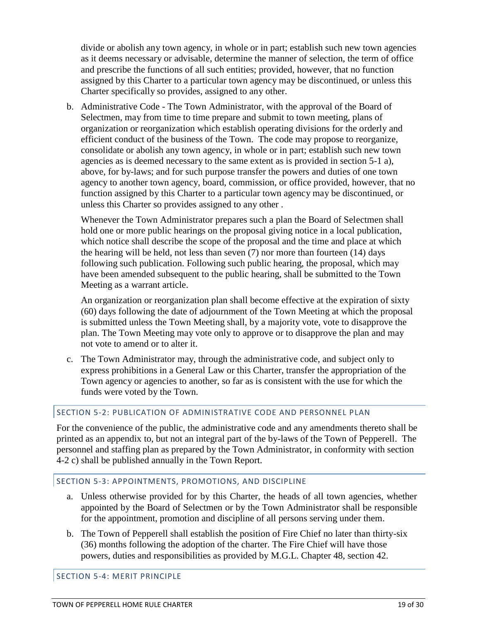divide or abolish any town agency, in whole or in part; establish such new town agencies as it deems necessary or advisable, determine the manner of selection, the term of office and prescribe the functions of all such entities; provided, however, that no function assigned by this Charter to a particular town agency may be discontinued, or unless this Charter specifically so provides, assigned to any other.

b. Administrative Code - The Town Administrator, with the approval of the Board of Selectmen, may from time to time prepare and submit to town meeting, plans of organization or reorganization which establish operating divisions for the orderly and efficient conduct of the business of the Town. The code may propose to reorganize, consolidate or abolish any town agency, in whole or in part; establish such new town agencies as is deemed necessary to the same extent as is provided in section 5-1 a), above, for by-laws; and for such purpose transfer the powers and duties of one town agency to another town agency, board, commission, or office provided, however, that no function assigned by this Charter to a particular town agency may be discontinued, or unless this Charter so provides assigned to any other .

Whenever the Town Administrator prepares such a plan the Board of Selectmen shall hold one or more public hearings on the proposal giving notice in a local publication, which notice shall describe the scope of the proposal and the time and place at which the hearing will be held, not less than seven (7) nor more than fourteen (14) days following such publication. Following such public hearing, the proposal, which may have been amended subsequent to the public hearing, shall be submitted to the Town Meeting as a warrant article.

An organization or reorganization plan shall become effective at the expiration of sixty (60) days following the date of adjournment of the Town Meeting at which the proposal is submitted unless the Town Meeting shall, by a majority vote, vote to disapprove the plan. The Town Meeting may vote only to approve or to disapprove the plan and may not vote to amend or to alter it.

c. The Town Administrator may, through the administrative code, and subject only to express prohibitions in a General Law or this Charter, transfer the appropriation of the Town agency or agencies to another, so far as is consistent with the use for which the funds were voted by the Town.

# <span id="page-18-0"></span>SECTION 5-2: PUBLICATION OF ADMINISTRATIVE CODE AND PERSONNEL PLAN

For the convenience of the public, the administrative code and any amendments thereto shall be printed as an appendix to, but not an integral part of the by-laws of the Town of Pepperell. The personnel and staffing plan as prepared by the Town Administrator, in conformity with section 4-2 c) shall be published annually in the Town Report.

#### <span id="page-18-1"></span>SECTION 5-3: APPOINTMENTS, PROMOTIONS, AND DISCIPLINE

- a. Unless otherwise provided for by this Charter, the heads of all town agencies, whether appointed by the Board of Selectmen or by the Town Administrator shall be responsible for the appointment, promotion and discipline of all persons serving under them.
- b. The Town of Pepperell shall establish the position of Fire Chief no later than thirty-six (36) months following the adoption of the charter. The Fire Chief will have those powers, duties and responsibilities as provided by M.G.L. Chapter 48, section 42.

<span id="page-18-2"></span>SECTION 5-4: MERIT PRINCIPLE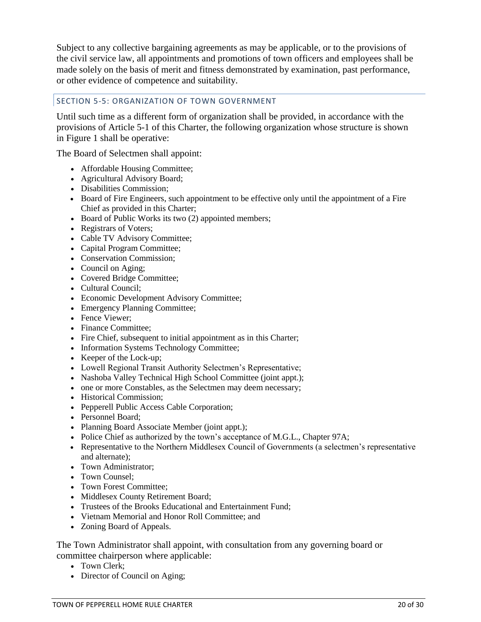Subject to any collective bargaining agreements as may be applicable, or to the provisions of the civil service law, all appointments and promotions of town officers and employees shall be made solely on the basis of merit and fitness demonstrated by examination, past performance, or other evidence of competence and suitability.

#### <span id="page-19-0"></span>SECTION 5-5: ORGANIZATION OF TOWN GOVERNMENT

Until such time as a different form of organization shall be provided, in accordance with the provisions of Article 5-1 of this Charter, the following organization whose structure is shown in Figure 1 shall be operative:

The Board of Selectmen shall appoint:

- Affordable Housing Committee;
- Agricultural Advisory Board;
- Disabilities Commission;
- Board of Fire Engineers, such appointment to be effective only until the appointment of a Fire Chief as provided in this Charter;
- Board of Public Works its two (2) appointed members;
- Registrars of Voters;
- Cable TV Advisory Committee;
- Capital Program Committee;
- Conservation Commission;
- Council on Aging;
- Covered Bridge Committee:
- Cultural Council:
- Economic Development Advisory Committee;
- Emergency Planning Committee;
- Fence Viewer:
- Finance Committee:
- Fire Chief, subsequent to initial appointment as in this Charter;
- Information Systems Technology Committee;
- Keeper of the Lock-up;
- Lowell Regional Transit Authority Selectmen's Representative;
- Nashoba Valley Technical High School Committee (joint appt.);
- one or more Constables, as the Selectmen may deem necessary;
- Historical Commission;
- Pepperell Public Access Cable Corporation;
- Personnel Board:
- Planning Board Associate Member (joint appt.);
- Police Chief as authorized by the town's acceptance of M.G.L., Chapter 97A;
- Representative to the Northern Middlesex Council of Governments (a selectmen's representative and alternate);
- Town Administrator:
- Town Counsel:
- Town Forest Committee;
- Middlesex County Retirement Board;
- Trustees of the Brooks Educational and Entertainment Fund;
- Vietnam Memorial and Honor Roll Committee; and
- Zoning Board of Appeals.

The Town Administrator shall appoint, with consultation from any governing board or committee chairperson where applicable:

- Town Clerk;
- Director of Council on Aging;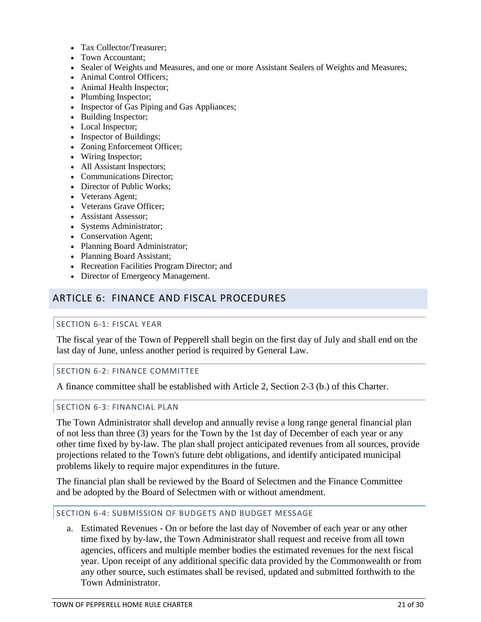- Tax Collector/Treasurer:
- Town Accountant;
- Sealer of Weights and Measures, and one or more Assistant Sealers of Weights and Measures;
- Animal Control Officers;
- Animal Health Inspector;
- Plumbing Inspector;
- Inspector of Gas Piping and Gas Appliances;
- Building Inspector;
- Local Inspector:
- Inspector of Buildings;
- Zoning Enforcement Officer;
- Wiring Inspector;
- All Assistant Inspectors;
- Communications Director;
- Director of Public Works;
- Veterans Agent;
- Veterans Grave Officer;
- Assistant Assessor;
- Systems Administrator:
- Conservation Agent;
- Planning Board Administrator;
- Planning Board Assistant;
- Recreation Facilities Program Director; and
- Director of Emergency Management.

# <span id="page-20-0"></span>ARTICLE 6: FINANCE AND FISCAL PROCEDURES

#### <span id="page-20-1"></span>SECTION 6-1: FISCAL YEAR

The fiscal year of the Town of Pepperell shall begin on the first day of July and shall end on the last day of June, unless another period is required by General Law.

#### <span id="page-20-2"></span>SECTION 6-2: FINANCE COMMITTEE

<span id="page-20-3"></span>A finance committee shall be established with Article 2, Section 2-3 (b.) of this Charter.

#### SECTION 6-3: FINANCIAL PLAN

The Town Administrator shall develop and annually revise a long range general financial plan of not less than three (3) years for the Town by the 1st day of December of each year or any other time fixed by by-law. The plan shall project anticipated revenues from all sources, provide projections related to the Town's future debt obligations, and identify anticipated municipal problems likely to require major expenditures in the future.

The financial plan shall be reviewed by the Board of Selectmen and the Finance Committee and be adopted by the Board of Selectmen with or without amendment.

#### <span id="page-20-4"></span>SECTION 6-4: SUBMISSION OF BUDGETS AND BUDGET MESSAGE

a. Estimated Revenues - On or before the last day of November of each year or any other time fixed by by-law, the Town Administrator shall request and receive from all town agencies, officers and multiple member bodies the estimated revenues for the next fiscal year. Upon receipt of any additional specific data provided by the Commonwealth or from any other source, such estimates shall be revised, updated and submitted forthwith to the Town Administrator.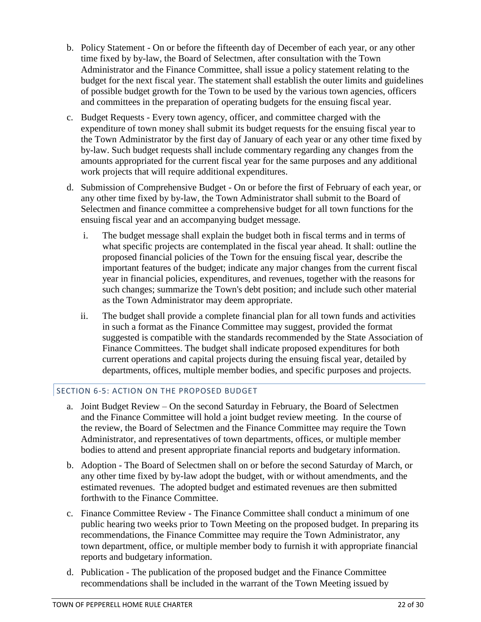- b. Policy Statement On or before the fifteenth day of December of each year, or any other time fixed by by-law, the Board of Selectmen, after consultation with the Town Administrator and the Finance Committee, shall issue a policy statement relating to the budget for the next fiscal year. The statement shall establish the outer limits and guidelines of possible budget growth for the Town to be used by the various town agencies, officers and committees in the preparation of operating budgets for the ensuing fiscal year.
- c. Budget Requests Every town agency, officer, and committee charged with the expenditure of town money shall submit its budget requests for the ensuing fiscal year to the Town Administrator by the first day of January of each year or any other time fixed by by-law. Such budget requests shall include commentary regarding any changes from the amounts appropriated for the current fiscal year for the same purposes and any additional work projects that will require additional expenditures.
- d. Submission of Comprehensive Budget On or before the first of February of each year, or any other time fixed by by-law, the Town Administrator shall submit to the Board of Selectmen and finance committee a comprehensive budget for all town functions for the ensuing fiscal year and an accompanying budget message.
	- i. The budget message shall explain the budget both in fiscal terms and in terms of what specific projects are contemplated in the fiscal year ahead. It shall: outline the proposed financial policies of the Town for the ensuing fiscal year, describe the important features of the budget; indicate any major changes from the current fiscal year in financial policies, expenditures, and revenues, together with the reasons for such changes; summarize the Town's debt position; and include such other material as the Town Administrator may deem appropriate.
	- ii. The budget shall provide a complete financial plan for all town funds and activities in such a format as the Finance Committee may suggest, provided the format suggested is compatible with the standards recommended by the State Association of Finance Committees. The budget shall indicate proposed expenditures for both current operations and capital projects during the ensuing fiscal year, detailed by departments, offices, multiple member bodies, and specific purposes and projects.

# <span id="page-21-0"></span>SECTION 6-5: ACTION ON THE PROPOSED BUDGET

- a. Joint Budget Review On the second Saturday in February, the Board of Selectmen and the Finance Committee will hold a joint budget review meeting. In the course of the review, the Board of Selectmen and the Finance Committee may require the Town Administrator, and representatives of town departments, offices, or multiple member bodies to attend and present appropriate financial reports and budgetary information.
- b. Adoption The Board of Selectmen shall on or before the second Saturday of March, or any other time fixed by by-law adopt the budget, with or without amendments, and the estimated revenues. The adopted budget and estimated revenues are then submitted forthwith to the Finance Committee.
- c. Finance Committee Review The Finance Committee shall conduct a minimum of one public hearing two weeks prior to Town Meeting on the proposed budget. In preparing its recommendations, the Finance Committee may require the Town Administrator, any town department, office, or multiple member body to furnish it with appropriate financial reports and budgetary information.
- d. Publication The publication of the proposed budget and the Finance Committee recommendations shall be included in the warrant of the Town Meeting issued by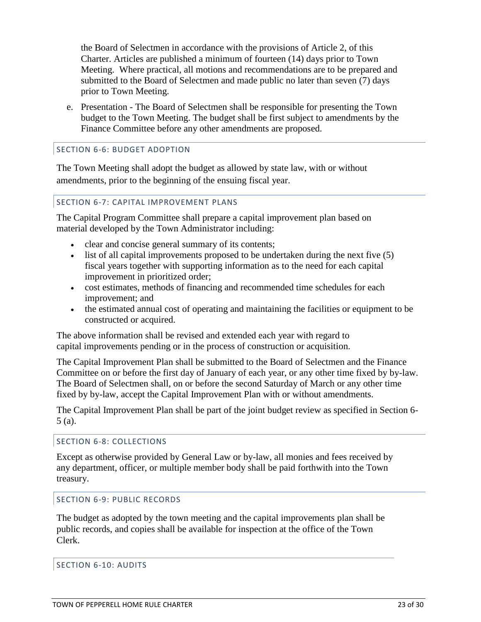the Board of Selectmen in accordance with the provisions of Article 2, of this Charter. Articles are published a minimum of fourteen (14) days prior to Town Meeting. Where practical, all motions and recommendations are to be prepared and submitted to the Board of Selectmen and made public no later than seven (7) days prior to Town Meeting.

e. Presentation - The Board of Selectmen shall be responsible for presenting the Town budget to the Town Meeting. The budget shall be first subject to amendments by the Finance Committee before any other amendments are proposed.

#### <span id="page-22-0"></span>SECTION 6-6: BUDGET ADOPTION

The Town Meeting shall adopt the budget as allowed by state law, with or without amendments, prior to the beginning of the ensuing fiscal year.

<span id="page-22-1"></span>SECTION 6-7: CAPITAL IMPROVEMENT PLANS

The Capital Program Committee shall prepare a capital improvement plan based on material developed by the Town Administrator including:

- clear and concise general summary of its contents;
- $\bullet$  list of all capital improvements proposed to be undertaken during the next five (5) fiscal years together with supporting information as to the need for each capital improvement in prioritized order;
- cost estimates, methods of financing and recommended time schedules for each improvement; and
- the estimated annual cost of operating and maintaining the facilities or equipment to be constructed or acquired.

The above information shall be revised and extended each year with regard to capital improvements pending or in the process of construction or acquisition.

The Capital Improvement Plan shall be submitted to the Board of Selectmen and the Finance Committee on or before the first day of January of each year, or any other time fixed by by-law. The Board of Selectmen shall, on or before the second Saturday of March or any other time fixed by by-law, accept the Capital Improvement Plan with or without amendments.

The Capital Improvement Plan shall be part of the joint budget review as specified in Section 6- 5 (a).

#### <span id="page-22-2"></span>SECTION 6-8: COLLECTIONS

Except as otherwise provided by General Law or by-law, all monies and fees received by any department, officer, or multiple member body shall be paid forthwith into the Town treasury.

#### <span id="page-22-3"></span>SECTION 6-9: PUBLIC RECORDS

The budget as adopted by the town meeting and the capital improvements plan shall be public records, and copies shall be available for inspection at the office of the Town Clerk.

<span id="page-22-4"></span>SECTION 6-10: AUDITS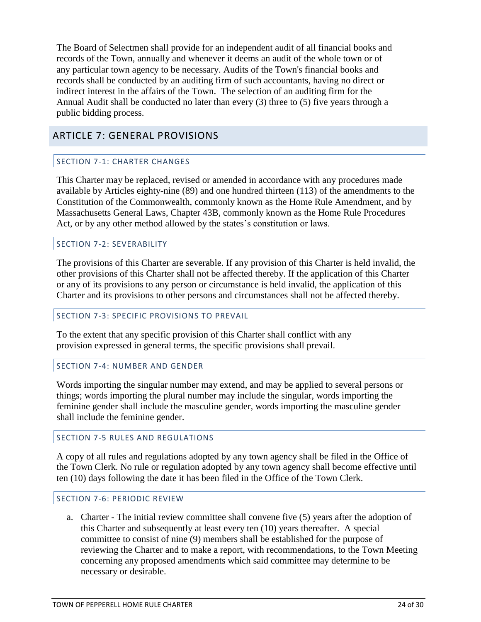The Board of Selectmen shall provide for an independent audit of all financial books and records of the Town, annually and whenever it deems an audit of the whole town or of any particular town agency to be necessary. Audits of the Town's financial books and records shall be conducted by an auditing firm of such accountants, having no direct or indirect interest in the affairs of the Town. The selection of an auditing firm for the Annual Audit shall be conducted no later than every (3) three to (5) five years through a public bidding process.

# <span id="page-23-0"></span>ARTICLE 7: GENERAL PROVISIONS

# <span id="page-23-1"></span>SECTION 7-1: CHARTER CHANGES

This Charter may be replaced, revised or amended in accordance with any procedures made available by Articles eighty-nine (89) and one hundred thirteen (113) of the amendments to the Constitution of the Commonwealth, commonly known as the Home Rule Amendment, and by Massachusetts General Laws, Chapter 43B, commonly known as the Home Rule Procedures Act, or by any other method allowed by the states's constitution or laws.

#### <span id="page-23-2"></span>SECTION 7-2: SEVERABILITY

The provisions of this Charter are severable. If any provision of this Charter is held invalid, the other provisions of this Charter shall not be affected thereby. If the application of this Charter or any of its provisions to any person or circumstance is held invalid, the application of this Charter and its provisions to other persons and circumstances shall not be affected thereby.

#### <span id="page-23-3"></span>SECTION 7-3: SPECIFIC PROVISIONS TO PREVAIL

To the extent that any specific provision of this Charter shall conflict with any provision expressed in general terms, the specific provisions shall prevail.

#### <span id="page-23-4"></span>SECTION 7-4: NUMBER AND GENDER

Words importing the singular number may extend, and may be applied to several persons or things; words importing the plural number may include the singular, words importing the feminine gender shall include the masculine gender, words importing the masculine gender shall include the feminine gender.

#### <span id="page-23-5"></span>SECTION 7-5 RULES AND REGULATIONS

A copy of all rules and regulations adopted by any town agency shall be filed in the Office of the Town Clerk. No rule or regulation adopted by any town agency shall become effective until ten (10) days following the date it has been filed in the Office of the Town Clerk.

#### <span id="page-23-6"></span>SECTION 7-6: PERIODIC REVIEW

a. Charter - The initial review committee shall convene five (5) years after the adoption of this Charter and subsequently at least every ten (10) years thereafter. A special committee to consist of nine (9) members shall be established for the purpose of reviewing the Charter and to make a report, with recommendations, to the Town Meeting concerning any proposed amendments which said committee may determine to be necessary or desirable.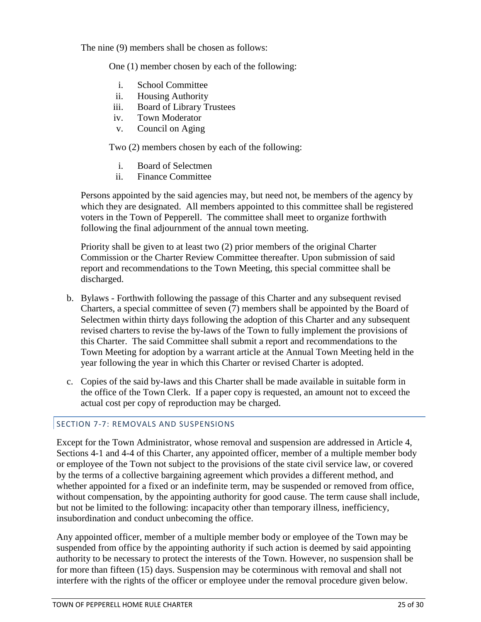The nine (9) members shall be chosen as follows:

One (1) member chosen by each of the following:

- i. School Committee
- ii. Housing Authority
- iii. Board of Library Trustees
- iv. Town Moderator
- v. Council on Aging

Two (2) members chosen by each of the following:

- i. Board of Selectmen
- ii. Finance Committee

Persons appointed by the said agencies may, but need not, be members of the agency by which they are designated. All members appointed to this committee shall be registered voters in the Town of Pepperell. The committee shall meet to organize forthwith following the final adjournment of the annual town meeting.

Priority shall be given to at least two (2) prior members of the original Charter Commission or the Charter Review Committee thereafter. Upon submission of said report and recommendations to the Town Meeting, this special committee shall be discharged.

- b. Bylaws Forthwith following the passage of this Charter and any subsequent revised Charters, a special committee of seven (7) members shall be appointed by the Board of Selectmen within thirty days following the adoption of this Charter and any subsequent revised charters to revise the by-laws of the Town to fully implement the provisions of this Charter. The said Committee shall submit a report and recommendations to the Town Meeting for adoption by a warrant article at the Annual Town Meeting held in the year following the year in which this Charter or revised Charter is adopted.
- c. Copies of the said by-laws and this Charter shall be made available in suitable form in the office of the Town Clerk. If a paper copy is requested, an amount not to exceed the actual cost per copy of reproduction may be charged.

# <span id="page-24-0"></span>SECTION 7-7: REMOVALS AND SUSPENSIONS

Except for the Town Administrator, whose removal and suspension are addressed in Article 4, Sections 4-1 and 4-4 of this Charter, any appointed officer, member of a multiple member body or employee of the Town not subject to the provisions of the state civil service law, or covered by the terms of a collective bargaining agreement which provides a different method, and whether appointed for a fixed or an indefinite term, may be suspended or removed from office, without compensation, by the appointing authority for good cause. The term cause shall include, but not be limited to the following: incapacity other than temporary illness, inefficiency, insubordination and conduct unbecoming the office.

Any appointed officer, member of a multiple member body or employee of the Town may be suspended from office by the appointing authority if such action is deemed by said appointing authority to be necessary to protect the interests of the Town. However, no suspension shall be for more than fifteen (15) days. Suspension may be coterminous with removal and shall not interfere with the rights of the officer or employee under the removal procedure given below.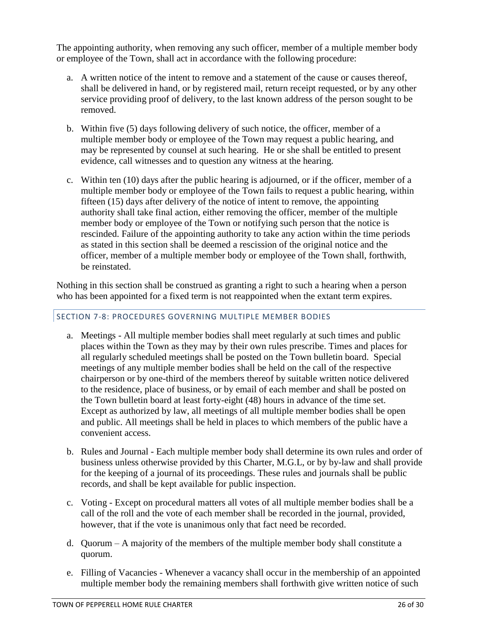The appointing authority, when removing any such officer, member of a multiple member body or employee of the Town, shall act in accordance with the following procedure:

- a. A written notice of the intent to remove and a statement of the cause or causes thereof, shall be delivered in hand, or by registered mail, return receipt requested, or by any other service providing proof of delivery, to the last known address of the person sought to be removed.
- b. Within five (5) days following delivery of such notice, the officer, member of a multiple member body or employee of the Town may request a public hearing, and may be represented by counsel at such hearing. He or she shall be entitled to present evidence, call witnesses and to question any witness at the hearing.
- c. Within ten (10) days after the public hearing is adjourned, or if the officer, member of a multiple member body or employee of the Town fails to request a public hearing, within fifteen (15) days after delivery of the notice of intent to remove, the appointing authority shall take final action, either removing the officer, member of the multiple member body or employee of the Town or notifying such person that the notice is rescinded. Failure of the appointing authority to take any action within the time periods as stated in this section shall be deemed a rescission of the original notice and the officer, member of a multiple member body or employee of the Town shall, forthwith, be reinstated.

Nothing in this section shall be construed as granting a right to such a hearing when a person who has been appointed for a fixed term is not reappointed when the extant term expires.

# <span id="page-25-0"></span>SECTION 7-8: PROCEDURES GOVERNING MULTIPLE MEMBER BODIES

- a. Meetings All multiple member bodies shall meet regularly at such times and public places within the Town as they may by their own rules prescribe. Times and places for all regularly scheduled meetings shall be posted on the Town bulletin board. Special meetings of any multiple member bodies shall be held on the call of the respective chairperson or by one-third of the members thereof by suitable written notice delivered to the residence, place of business, or by email of each member and shall be posted on the Town bulletin board at least forty-eight (48) hours in advance of the time set. Except as authorized by law, all meetings of all multiple member bodies shall be open and public. All meetings shall be held in places to which members of the public have a convenient access.
- b. Rules and Journal Each multiple member body shall determine its own rules and order of business unless otherwise provided by this Charter, M.G.L, or by by-law and shall provide for the keeping of a journal of its proceedings. These rules and journals shall be public records, and shall be kept available for public inspection.
- c. Voting Except on procedural matters all votes of all multiple member bodies shall be a call of the roll and the vote of each member shall be recorded in the journal, provided, however, that if the vote is unanimous only that fact need be recorded.
- d. Quorum A majority of the members of the multiple member body shall constitute a quorum.
- e. Filling of Vacancies Whenever a vacancy shall occur in the membership of an appointed multiple member body the remaining members shall forthwith give written notice of such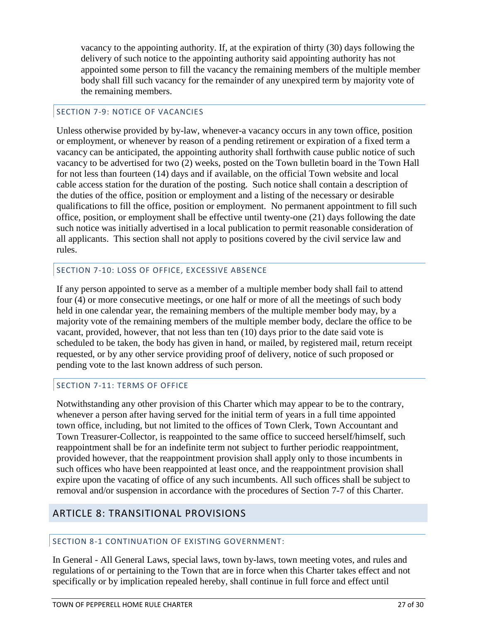vacancy to the appointing authority. If, at the expiration of thirty (30) days following the delivery of such notice to the appointing authority said appointing authority has not appointed some person to fill the vacancy the remaining members of the multiple member body shall fill such vacancy for the remainder of any unexpired term by majority vote of the remaining members.

# <span id="page-26-0"></span>SECTION 7-9: NOTICE OF VACANCIES

Unless otherwise provided by by-law, whenever-a vacancy occurs in any town office, position or employment, or whenever by reason of a pending retirement or expiration of a fixed term a vacancy can be anticipated, the appointing authority shall forthwith cause public notice of such vacancy to be advertised for two (2) weeks, posted on the Town bulletin board in the Town Hall for not less than fourteen (14) days and if available, on the official Town website and local cable access station for the duration of the posting. Such notice shall contain a description of the duties of the office, position or employment and a listing of the necessary or desirable qualifications to fill the office, position or employment. No permanent appointment to fill such office, position, or employment shall be effective until twenty-one (21) days following the date such notice was initially advertised in a local publication to permit reasonable consideration of all applicants. This section shall not apply to positions covered by the civil service law and rules.

# <span id="page-26-1"></span>SECTION 7-10: LOSS OF OFFICE, EXCESSIVE ABSENCE

If any person appointed to serve as a member of a multiple member body shall fail to attend four (4) or more consecutive meetings, or one half or more of all the meetings of such body held in one calendar year, the remaining members of the multiple member body may, by a majority vote of the remaining members of the multiple member body, declare the office to be vacant, provided, however, that not less than ten (10) days prior to the date said vote is scheduled to be taken, the body has given in hand, or mailed, by registered mail, return receipt requested, or by any other service providing proof of delivery, notice of such proposed or pending vote to the last known address of such person.

# <span id="page-26-2"></span>SECTION 7-11: TERMS OF OFFICE

Notwithstanding any other provision of this Charter which may appear to be to the contrary, whenever a person after having served for the initial term of years in a full time appointed town office, including, but not limited to the offices of Town Clerk, Town Accountant and Town Treasurer-Collector, is reappointed to the same office to succeed herself/himself, such reappointment shall be for an indefinite term not subject to further periodic reappointment, provided however, that the reappointment provision shall apply only to those incumbents in such offices who have been reappointed at least once, and the reappointment provision shall expire upon the vacating of office of any such incumbents. All such offices shall be subject to removal and/or suspension in accordance with the procedures of Section 7-7 of this Charter.

# <span id="page-26-4"></span><span id="page-26-3"></span>ARTICLE 8: TRANSITIONAL PROVISIONS

#### SECTION 8-1 CONTINUATION OF EXISTING GOVERNMENT:

In General - All General Laws, special laws, town by-laws, town meeting votes, and rules and regulations of or pertaining to the Town that are in force when this Charter takes effect and not specifically or by implication repealed hereby, shall continue in full force and effect until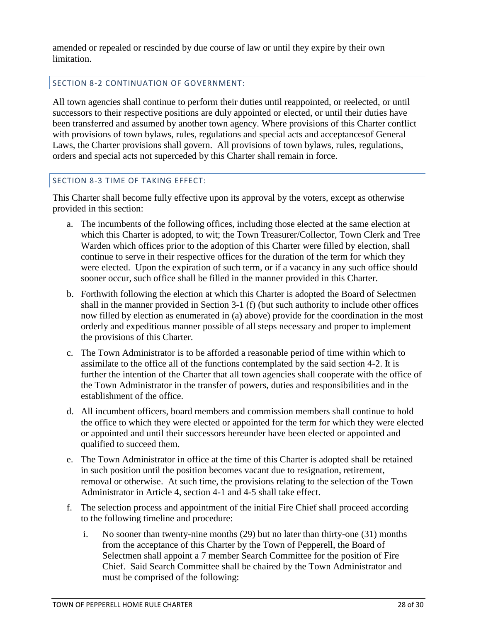amended or repealed or rescinded by due course of law or until they expire by their own limitation.

#### <span id="page-27-0"></span>SECTION 8-2 CONTINUATION OF GOVERNMENT:

All town agencies shall continue to perform their duties until reappointed, or reelected, or until successors to their respective positions are duly appointed or elected, or until their duties have been transferred and assumed by another town agency. Where provisions of this Charter conflict with provisions of town bylaws, rules, regulations and special acts and acceptancesof General Laws, the Charter provisions shall govern. All provisions of town bylaws, rules, regulations, orders and special acts not superceded by this Charter shall remain in force.

#### <span id="page-27-1"></span>SECTION 8-3 TIME OF TAKING EFFECT:

This Charter shall become fully effective upon its approval by the voters, except as otherwise provided in this section:

- a. The incumbents of the following offices, including those elected at the same election at which this Charter is adopted, to wit; the Town Treasurer/Collector, Town Clerk and Tree Warden which offices prior to the adoption of this Charter were filled by election, shall continue to serve in their respective offices for the duration of the term for which they were elected. Upon the expiration of such term, or if a vacancy in any such office should sooner occur, such office shall be filled in the manner provided in this Charter.
- b. Forthwith following the election at which this Charter is adopted the Board of Selectmen shall in the manner provided in Section 3-1 (f) (but such authority to include other offices now filled by election as enumerated in (a) above) provide for the coordination in the most orderly and expeditious manner possible of all steps necessary and proper to implement the provisions of this Charter.
- c. The Town Administrator is to be afforded a reasonable period of time within which to assimilate to the office all of the functions contemplated by the said section 4-2. It is further the intention of the Charter that all town agencies shall cooperate with the office of the Town Administrator in the transfer of powers, duties and responsibilities and in the establishment of the office.
- d. All incumbent officers, board members and commission members shall continue to hold the office to which they were elected or appointed for the term for which they were elected or appointed and until their successors hereunder have been elected or appointed and qualified to succeed them.
- e. The Town Administrator in office at the time of this Charter is adopted shall be retained in such position until the position becomes vacant due to resignation, retirement, removal or otherwise. At such time, the provisions relating to the selection of the Town Administrator in Article 4, section 4-1 and 4-5 shall take effect.
- f. The selection process and appointment of the initial Fire Chief shall proceed according to the following timeline and procedure:
	- i. No sooner than twenty-nine months (29) but no later than thirty-one (31) months from the acceptance of this Charter by the Town of Pepperell, the Board of Selectmen shall appoint a 7 member Search Committee for the position of Fire Chief. Said Search Committee shall be chaired by the Town Administrator and must be comprised of the following: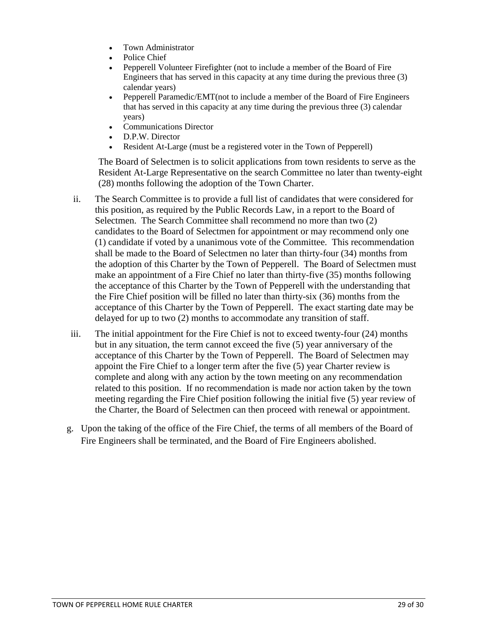- Town Administrator
- Police Chief
- Pepperell Volunteer Firefighter (not to include a member of the Board of Fire Engineers that has served in this capacity at any time during the previous three (3) calendar years)
- Pepperell Paramedic/EMT(not to include a member of the Board of Fire Engineers that has served in this capacity at any time during the previous three (3) calendar years)
- Communications Director
- D.P.W. Director
- Resident At-Large (must be a registered voter in the Town of Pepperell)

The Board of Selectmen is to solicit applications from town residents to serve as the Resident At-Large Representative on the search Committee no later than twenty-eight (28) months following the adoption of the Town Charter.

- ii. The Search Committee is to provide a full list of candidates that were considered for this position, as required by the Public Records Law, in a report to the Board of Selectmen. The Search Committee shall recommend no more than two (2) candidates to the Board of Selectmen for appointment or may recommend only one (1) candidate if voted by a unanimous vote of the Committee. This recommendation shall be made to the Board of Selectmen no later than thirty-four (34) months from the adoption of this Charter by the Town of Pepperell. The Board of Selectmen must make an appointment of a Fire Chief no later than thirty-five (35) months following the acceptance of this Charter by the Town of Pepperell with the understanding that the Fire Chief position will be filled no later than thirty-six (36) months from the acceptance of this Charter by the Town of Pepperell. The exact starting date may be delayed for up to two (2) months to accommodate any transition of staff.
- iii. The initial appointment for the Fire Chief is not to exceed twenty-four (24) months but in any situation, the term cannot exceed the five (5) year anniversary of the acceptance of this Charter by the Town of Pepperell. The Board of Selectmen may appoint the Fire Chief to a longer term after the five (5) year Charter review is complete and along with any action by the town meeting on any recommendation related to this position. If no recommendation is made nor action taken by the town meeting regarding the Fire Chief position following the initial five (5) year review of the Charter, the Board of Selectmen can then proceed with renewal or appointment.
- g. Upon the taking of the office of the Fire Chief, the terms of all members of the Board of Fire Engineers shall be terminated, and the Board of Fire Engineers abolished.